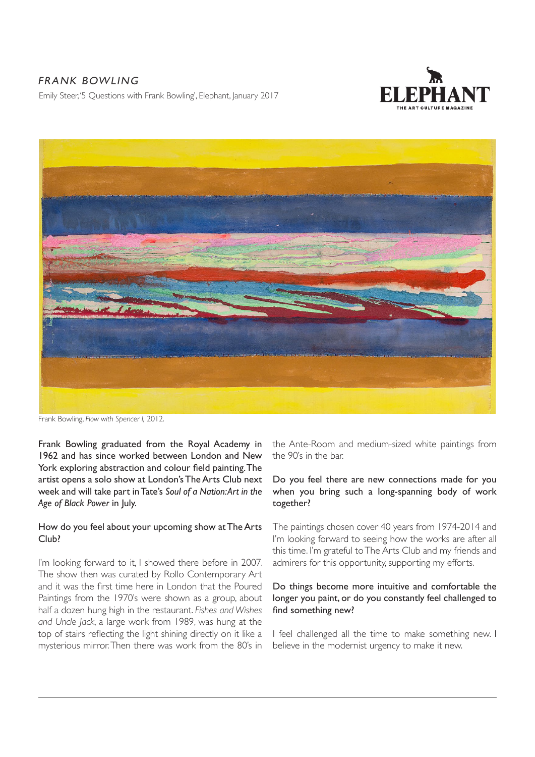# FRANK BOWLING

Emily Steer, '5 Questions with Frank Bowling', Elephant, January 2017





Frank Bowling, *Flow with Spencer I,* 2012.

Frank Bowling graduated from the Royal Academy in 1962 and has since worked between London and New York exploring abstraction and colour field painting. The artist opens a solo show at London's The Arts Club next week and will take part in Tate's *Soul of a Nation: Art in the Age of Black Power* in July.

### How do you feel about your upcoming show at The Arts Club?

I'm looking forward to it, I showed there before in 2007. The show then was curated by Rollo Contemporary Art and it was the first time here in London that the Poured Paintings from the 1970's were shown as a group, about half a dozen hung high in the restaurant. *Fishes and Wishes and Uncle Jack*, a large work from 1989, was hung at the top of stairs reflecting the light shining directly on it like a mysterious mirror. Then there was work from the 80's in the Ante-Room and medium-sized white paintings from the 90's in the bar.

# Do you feel there are new connections made for you when you bring such a long-spanning body of work together?

The paintings chosen cover 40 years from 1974-2014 and I'm looking forward to seeing how the works are after all this time. I'm grateful to The Arts Club and my friends and admirers for this opportunity, supporting my efforts.

# Do things become more intuitive and comfortable the longer you paint, or do you constantly feel challenged to find something new?

I feel challenged all the time to make something new. I believe in the modernist urgency to make it new.